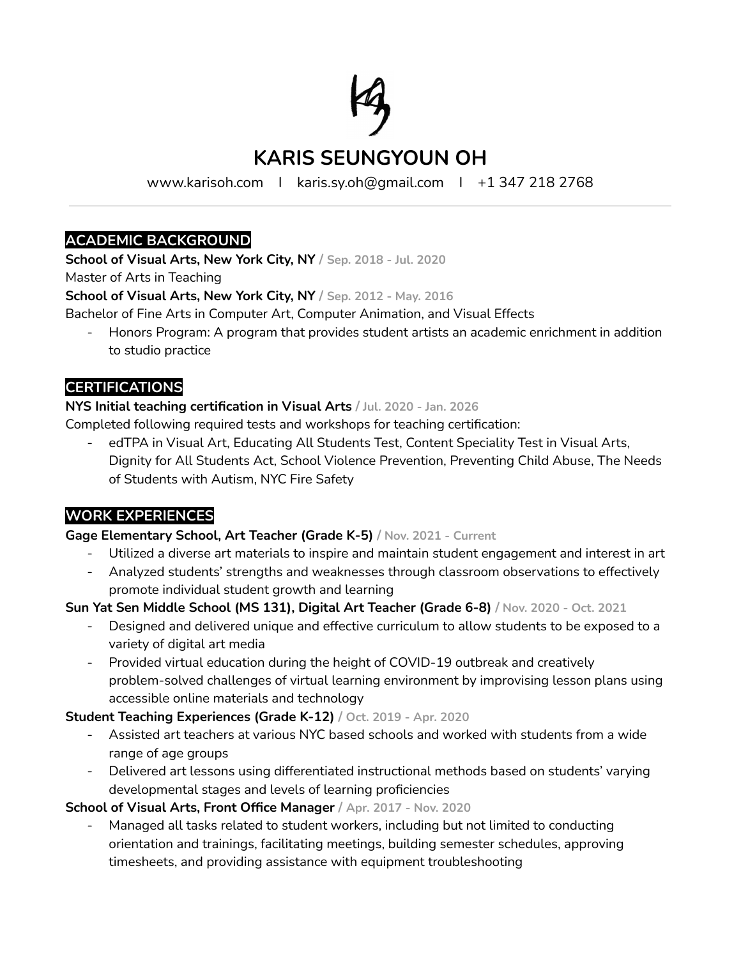

# **KARIS SEUNGYOUN OH**

www.karisoh.com I karis.sy.oh@gmail.com I +1 347 218 2768

#### **ACADEMIC BACKGROUND**

**School of Visual Arts, New York City, NY / Sep. 2018 - Jul. 2020**

Master of Arts in Teaching

**School of Visual Arts, New York City, NY / Sep. 2012 - May. 2016**

- Bachelor of Fine Arts in Computer Art, Computer Animation, and Visual Effects
	- Honors Program: A program that provides student artists an academic enrichment in addition to studio practice

## **CERTIFICATIONS**

#### **NYS Initial teaching certification in Visual Arts / Jul. 2020 - Jan. 2026**

Completed following required tests and workshops for teaching certification:

edTPA in Visual Art, Educating All Students Test, Content Speciality Test in Visual Arts, Dignity for All Students Act, School Violence Prevention, Preventing Child Abuse, The Needs of Students with Autism, NYC Fire Safety

## **WORK EXPERIENCES**

#### **Gage Elementary School, Art Teacher (Grade K-5) / Nov. 2021 - Current**

- Utilized a diverse art materials to inspire and maintain student engagement and interest in art
- Analyzed students' strengths and weaknesses through classroom observations to effectively promote individual student growth and learning

#### **Sun Yat Sen Middle School (MS 131), Digital Art Teacher (Grade 6-8) / Nov. 2020 - Oct. 2021**

- Designed and delivered unique and effective curriculum to allow students to be exposed to a variety of digital art media
- Provided virtual education during the height of COVID-19 outbreak and creatively problem-solved challenges of virtual learning environment by improvising lesson plans using accessible online materials and technology

#### **Student Teaching Experiences (Grade K-12) / Oct. 2019 - Apr. 2020**

- Assisted art teachers at various NYC based schools and worked with students from a wide range of age groups
- Delivered art lessons using differentiated instructional methods based on students' varying developmental stages and levels of learning proficiencies

#### **School of Visual Arts, Front Office Manager / Apr. 2017 - Nov. 2020**

Managed all tasks related to student workers, including but not limited to conducting orientation and trainings, facilitating meetings, building semester schedules, approving timesheets, and providing assistance with equipment troubleshooting